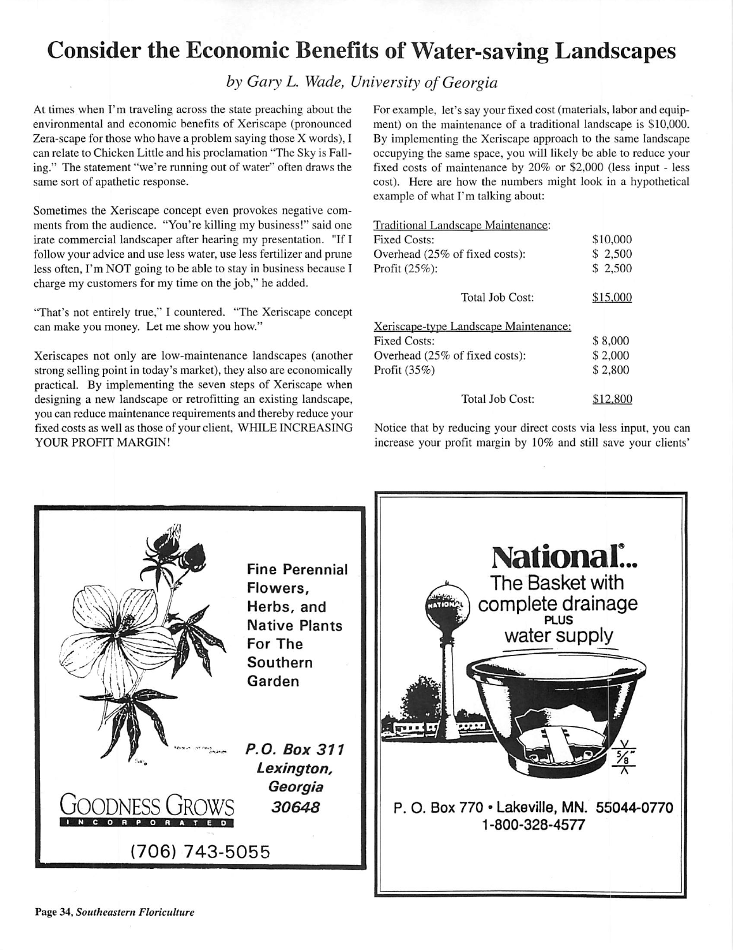## Consider the Economic Benefits of Water-saving Landscapes

## **by Gary L. Wade, University of Georgia**

At times when I'm traveling across the state preaching about the environmental and economic benefits of Xeriscape (pronounced Zera-scape for those who have a problem saying those X words), I can relate to Chicken Little and his proclamation "The Sky is Fall ing.'' The statement "we're running out of water" often draws the same sort of apathetic response.

Sometimes the Xeriscape concept even provokes negative com ments from the audience. "You're killing my business!" said one irate commercial landscaper after hearing my presentation. "If I follow your advice and use less water, use less fertilizer and prune less often, I'm NOT going to be able to stay in business because I charge my customers for my time on the job," he added.

"That's not entirely true," I countered. "The Xeriscape concept can make you money. Let me show you how."

Xeriscapes not only are low-maintenance landscapes (another strong selling point in today's market), they also are economically practical. By implementing the seven steps of Xeriscape when designing a new landscape or retrofitting an existing landscape, you can reduce maintenance requirements and thereby reduce your fixed costs as well as those of your client, WHILE INCREASING YOUR PROFIT MARGIN!

For example, let's say your fixed cost (materials, labor and equip ment) on the maintenance of a traditional landscape is \$10,000. By implementing the Xeriscape approach to the same landscape occupying the same space, you will likely be able to reduce your fixed costs of maintenance by 20% or \$2,000 (less input - less cost). Here are how the numbers might look in a hypothetical example of what I'm talking about:

| Traditional Landscape Maintenance:           |                     |
|----------------------------------------------|---------------------|
| <b>Fixed Costs:</b>                          | \$10,000            |
| Overhead (25% of fixed costs):               | \$2,500             |
| Profit (25%):                                | \$ 2,500            |
| Total Job Cost:                              | \$15,000            |
| <u>Xeriscape-type Landscape Maintenance:</u> |                     |
| <b>Fixed Costs:</b>                          | \$8,000             |
| Overhead (25% of fixed costs):               | \$2,000             |
| Profit $(35%)$                               | \$2,800<br>\$12,800 |
| Total Job Cost:                              |                     |

Notice that by reducing your direct costs via less input, you can increase your profit margin by 10% and still save your clients'

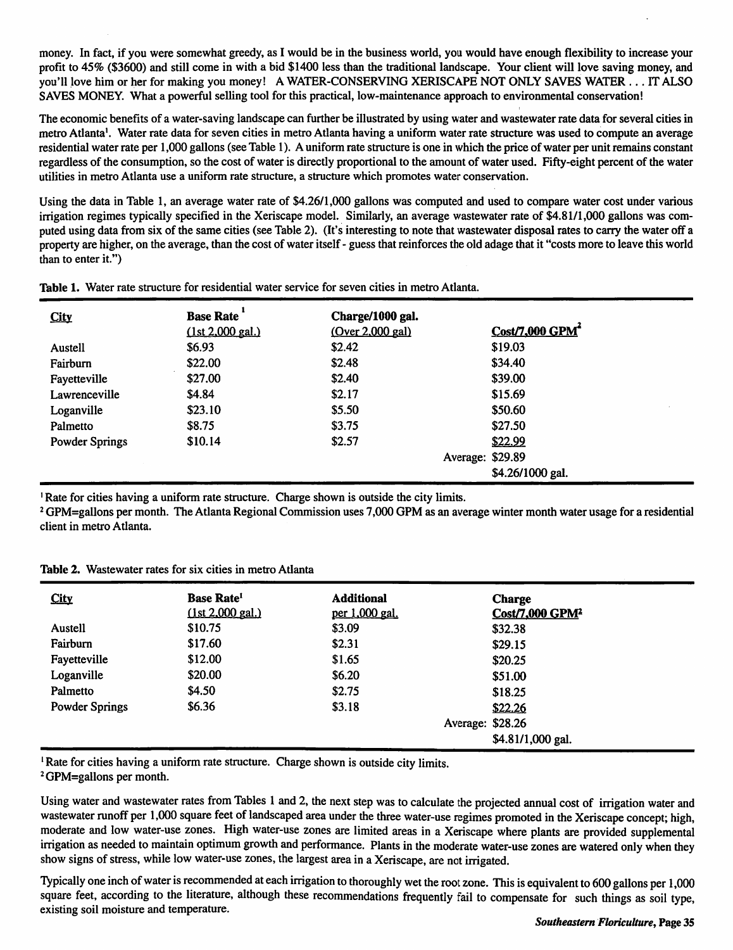money. In fact, if you were somewhat greedy, as I would be in the business world, you would have enough flexibility to increase your profit to 45% (\$3600) and still come in with a bid \$1400 less than the traditional landscape. Your client will love saving money,and you'll love him or her for making you money! A WATER-CONSERVING XERISCAPE NOT ONLY SAVES WATER ... IT ALSO SAVES MONEY. What a powerful selling tool for this practical, low-maintenance approach to environmental conservation!

The economic benefits of a water-saving landscape can further be illustrated by using water and wastewater rate data for several cities in metro Atlanta<sup>1</sup>. Water rate data for seven cities in metro Atlanta having a uniform water rate structure was used to compute an average residential water rate per 1,000 gallons (see Table 1). A uniform rate structure is one in which the price ofwater per unit remains constant regardless of the consumption, so the cost of water is directly proportional to the amount of water used. Fifty-eight percent ofthe water utilities in metro Atlanta use a uniform rate structure, a structure which promotes water conservation.

Using the data in Table 1, an average water rate of \$4.26/1,000 gallons was computed and used to compare water cost under various irrigation regimes typically specified in the Xeriscape model. Similarly, an average wastewater rate of \$4.81/1,000 gallons was com puted using data from six of the same cities (see Table 2). (It's interesting to note that wastewater disposal rates to carry the water off a property are higher, on the average, than the cost of water itself - guess that reinforces the old adage that it "costs more to leave this world than to enter it.")

| <b>City</b>           | <b>Base Rate</b> | Charge/1000 gal. |                             |
|-----------------------|------------------|------------------|-----------------------------|
|                       | (1st 2,000 gal.) | (Over 2,000 gal) | Cost/7,000 GPM <sup>4</sup> |
| Austell               | \$6.93           | \$2.42           | \$19.03                     |
| Fairburn              | \$22.00          | \$2.48           | \$34.40                     |
| Fayetteville          | \$27.00          | \$2.40           | \$39.00                     |
| Lawrenceville         | \$4.84           | \$2.17           | \$15.69                     |
| Loganville            | \$23.10          | \$5.50           | \$50.60                     |
| Palmetto              | \$8.75           | \$3.75           | \$27.50                     |
| <b>Powder Springs</b> | \$10.14          | \$2.57           | \$22.99                     |
|                       |                  |                  | Average: \$29.89            |
|                       |                  |                  | \$4.26/1000 gal.            |

*Table* 1. Water rate structure for residential water service for seven cities in metro Atlanta.

1Rate for cities having a uniform rate structure. Charge shown is outside the city limits.

2GPM=gallons per month. The Atlanta Regional Commission uses 7,000 GPM as an average winter month water usage for a residential client in metro Atlanta.

| <b>City</b>           | <b>Base Rate<sup>1</sup></b><br>(1st 2,000 gal.) | <b>Additional</b><br>per 1,000 gal. | <b>Charge</b><br>Cost/7,000 GPM <sup>2</sup> |
|-----------------------|--------------------------------------------------|-------------------------------------|----------------------------------------------|
| Austell               | \$10.75                                          | \$3.09                              | \$32.38                                      |
| Fairburn              | \$17.60                                          | \$2.31                              | \$29.15                                      |
| Fayetteville          | \$12.00                                          | \$1.65                              | \$20.25                                      |
| Loganville            | \$20.00                                          | \$6.20                              | \$51.00                                      |
| Palmetto              | \$4.50                                           | \$2.75                              | \$18.25                                      |
| <b>Powder Springs</b> | \$6.36                                           | \$3.18                              | \$22.26                                      |
|                       |                                                  |                                     | Average: \$28.26                             |
|                       |                                                  |                                     | \$4.81/1,000 gal.                            |

<sup>1</sup> Rate for cities having a uniform rate structure. Charge shown is outside city limits.

2GPM=gallons per month.

Using water and wastewater rates from Tables 1 and 2, the next step was to calculate the projected annual cost of irrigation water and wastewater runoff per 1,000 square feet of landscaped area under the three water-use regimes promoted in the Xeriscape concept; high, moderate and low water-use zones. High water-use zones are limited areas in a Xeriscape where plants are provided supplemental irrigation as needed to maintain optimum growth and performance. Plants in the moderate water-use zones are watered only when they show signs of stress, while low water-use zones, the largest area in a Xeriscape, are not irrigated.

Typically one inch of water is recommended at each irrigation to thoroughly wet the root zone. This is equivalent to 600 gallons per 1,000 square feet, according to the literature, although these recommendations frequently fail to compensate for such things as soil type, existing soil moisture and temperature.